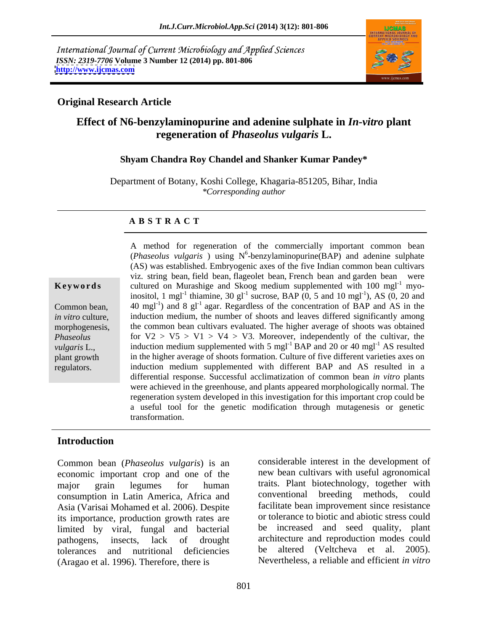International Journal of Current Microbiology and Applied Sciences *ISSN: 2319-7706* **Volume 3 Number 12 (2014) pp. 801-806 <http://www.ijcmas.com>**



## **Original Research Article**

# **Effect of N6-benzylaminopurine and adenine sulphate in** *In-vitro* **plant regeneration of** *Phaseolus vulgaris* **L.**

### **Shyam Chandra Roy Chandel and Shanker Kumar Pandey\***

Department of Botany, Koshi College, Khagaria-851205, Bihar, India *\*Corresponding author* 

### **A B S T R A C T**

**Keywords** cultured on Murashige and Skoog medium supplemented with 100 mgl<sup>-1</sup> myo-Common bean,  $\begin{pmatrix} 40 \text{ mgl}^{-1} \end{pmatrix}$  and 8 gl<sup>-1</sup> agar. Regardless of the concentration of BAP and AS in the *in vitro* culture, induction medium, the number of shoots and leaves differed significantly among morphogenesis, the common bean cultivars evaluated. The higher average of shoots was obtained *Phaseolus* 6 for  $V2 > V5 > V1 > V4 > V3$ . Moreover, independently of the cultivar, the *vulgaris* L., induction medium supplemented with 5 mgl<sup>-1</sup> BAP and 20 or 40 mgl<sup>-1</sup> AS resulted plant growth in the higher average of shoots formation. Culture of five different varieties axes on regulators. induction medium supplemented with different BAP and AS resulted in a A method for regeneration of the commercially important common bean (*Phaseolus vulgaris* ) using N 6 -benzylaminopurine(BAP) and adenine sulphate (AS) was established. Embryogenic axes of the five Indian common bean cultivars viz. string bean, field bean, flageolet bean, French bean and garden bean were inositol, 1 mgl<sup>-1</sup> thiamine, 30 gl<sup>-1</sup> sucrose, BAP  $(0, 5 \text{ and } 10 \text{ mgl}^{-1})$ , AS  $(0, 20 \text{ and } 10 \text{ mgl}^{-1})$ ), AS (0, 20 and differential response. Successful acclimatization of common bean *in vitro* plants were achieved in the greenhouse, and plants appeared morphologically normal. The regeneration system developed in this investigation for this important crop could be a useful tool for the genetic modification through mutagenesis or genetic transformation.

## **Introduction**

Common bean (*Phaseolus vulgaris*) is an economic important crop and one of the major grain legumes for human traits. Plant biotechnology, together with consumption in Latin America, Africa and Asia (Varisai Mohamed et al. 2006). Despite its importance, production growth rates are limited by viral, fungal and bacterial pathogens, insects, lack of drought architecture and reproduction modes could tolerances and nutritional deficiencies be altered (Veltcheva et al. 2005). (Aragao et al. 1996). Therefore, there is

considerable interest in the development of new bean cultivars with useful agronomical conventional breeding methods, could facilitate bean improvement since resistance or tolerance to biotic and abiotic stress could be increased and seed quality, plant Nevertheless, a reliable and efficient *in vitro*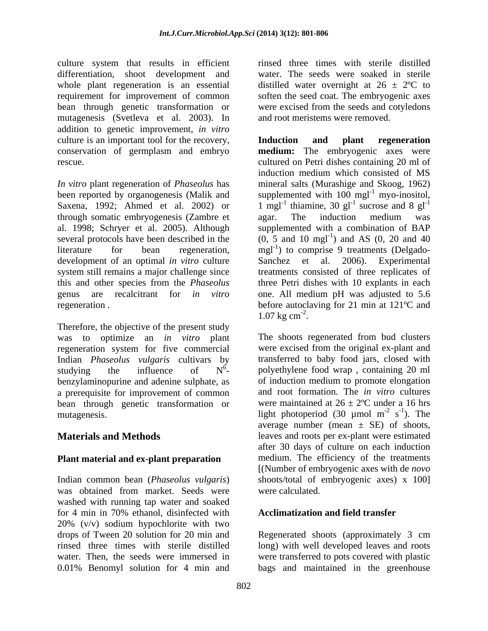culture system that results in efficient differentiation, shoot development and whole plant regeneration is an essential distilled water overnight at  $26 \pm 2^{\circ}C$  to requirement for improvement of common soften the seed coat. The embryogenic axes bean through genetic transformation or mutagenesis (Svetleva et al. 2003). In addition to genetic improvement, *in vitro* culture is an important tool for the recovery, **Induction** and **plant** regeneration

*In vitro* plant regeneration of *Phaseolus* has through somatic embryogenesis (Zambre et

Therefore, the objective of the present study was to optimize an *in vitro* plant The shoots regenerated from bud clusters regeneration system for five commercial Indian *Phaseolus vulgaris* cultivars by benzylaminopurine and adenine sulphate, as a prerequisite for improvement of common bean through genetic transformation or

# **Plant material and ex-plant preparation**

was obtained from market. Seeds were washed with running tap water and soaked for 4 min in 70% ethanol, disinfected with 20% (v/v) sodium hypochlorite with two drops of Tween 20 solution for 20 min and Regenerated shoots (approximately 3 cm rinsed three times with sterile distilled long) with well developed leaves and roots water. Then, the seeds were immersed in were transferred to pots covered with plastic 0.01% Benomyl solution for 4 min and

rinsed three times with sterile distilled water. The seeds were soaked in sterile were excised from the seeds and cotyledons and root meristems were removed.

conservation of germplasm and embryo **medium:** The embryogenic axes were rescue. cultured on Petri dishes containing 20 ml of been reported by organogenesis (Malik and supplemented with  $100$  mgl<sup>-1</sup> myo-inositol, Saxena, 1992; Ahmed et al. 2002) or 1 mgl<sup>-1</sup> thiamine, 30 gl<sup>-1</sup> sucrose and 8 gl<sup>-1</sup> al. 1998; Schryer et al. 2005). Although supplemented with a combination of BAP several protocols have been described in the  $(0, 5 \text{ and } 10 \text{ mgl}^{-1})$  and AS  $(0, 20 \text{ and } 40 \text{ mgl}^{-1})$ literature for bean regeneration,  $mgl^{-1}$  to comprise 9 treatments (Delgadodevelopment of an optimal *in vitro* culture Sanchez et al. 2006). Experimental system still remains a major challenge since treatments consisted of three replicates of this and other species from the *Phaseolus*  three Petri dishes with 10 explants in each genus are recalcitrant for *in vitro* one. All medium pH was adjusted to 5.6 regeneration . before autoclaving for 21 min at 121ºC and **Induction and plant regeneration** induction medium which consisted of MS mineral salts (Murashige and Skoog, 1962) myo-inositol, sucrose and  $8 \text{ gl}^{-1}$ agar. The induction medium was ) and AS (0, 20 and 40  $1.07 \text{ kg cm}^2$ .

studying the influence of  $N^6$ - polyethylene food wrap, containing 20 ml mutagenesis.  $\qquad \qquad$  light photoperiod (30 µmol m<sup>-2</sup> s<sup>-1</sup>). The **Materials and Methods** leaves and roots per ex-plant were estimated Indian common bean (*Phaseolus vulgaris*) shoots/total of embryogenic axes) x 100] 1.07 kg cm<sup>-2</sup>.<br>The shoots regenerated from bud clusters were excised from the original ex-plant and transferred to baby food jars, closed with of induction medium to promote elongation and root formation.The *in vitro* cultures were maintained at  $26 \pm 2$ °C under a 16 hrs  $-2$   $c^{-1}$  The  $s^{-1}$ ). The  $-1$  The ). The average number (mean  $\pm$  SE) of shoots, after 30 days of culture on each induction medium. The efficiency of the treatments [(Number of embryogenic axes with de *novo* were calculated.

# **Acclimatization and field transfer**

bags and maintained in the greenhouse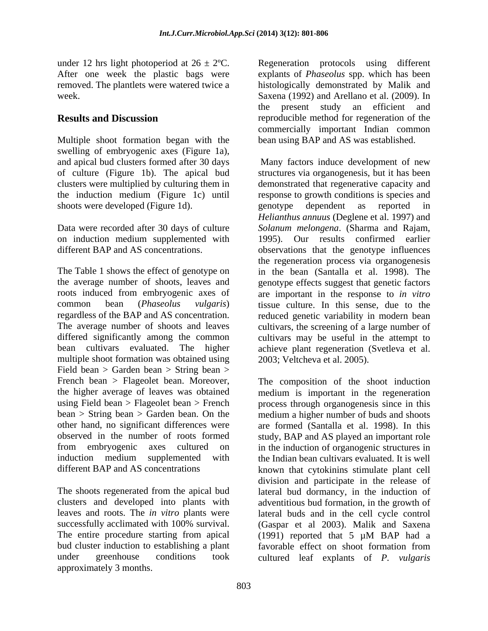under 12 hrs light photoperiod at  $26 \pm 2^{\circ}C$ . After one week the plastic bags were

Multiple shoot formation began with the swelling of embryogenic axes (Figure 1a), and apical bud clusters formed after 30 days shoots were developed (Figure 1d). The genotype dependent as reported in

on induction medium supplemented with

The Table 1 shows the effect of genotype on in the bean (Santalla et al. 1998). The the average number of shoots, leaves and genotype effects suggest that genetic factors roots induced from embryogenic axes of are important in the response to *in vitro* common bean (*Phaseolus vulgaris*) tissue culture. In this sense, due to the regardless of the BAP and AS concentration. reduced genetic variability in modern bean The average number of shoots and leaves cultivars, the screening of a large number of differed significantly among the common cultivars may be useful in the attempt to bean cultivars evaluated. The higher achieve plant regeneration (Svetleva et al. multiple shoot formation was obtained using Field bean > Garden bean > String bean > French bean > Flageolet bean. Moreover, The composition of the shoot induction

The entire procedure starting from apical (1991) reported that 5 uM BAP had a under greenhouse conditions took cultured leaf explants of *P. vulgaris*approximately 3 months.

removed. The plantlets were watered twice a histologically demonstrated by Malik and week. Saxena (1992) and Arellano et al. (2009). In **Results and Discussion** reproducible method for regeneration of the Regeneration protocols using different explants of *Phaseolus* spp. which has been the present study an efficient and commercially important Indian common bean using BAP and AS was established.

of culture (Figure 1b). The apical bud structures via organogenesis, but it has been clusters were multiplied by culturing them in demonstrated that regenerative capacity and the induction medium (Figure 1c) until response to growth conditions is species and Data were recorded after 30 days of culture *Solanum melongena*. (Sharma and Rajam, different BAP and AS concentrations. observations that the genotype influences Many factors induce development of new genotype dependent as reported in *Helianthus annuus* (Deglene et al. 1997) and 1995). Our results confirmed earlier the regeneration process via organogenesis 2003; Veltcheva et al. 2005).

the higher average of leaves was obtained medium is important in the regeneration using Field bean > Flageolet bean > French process through organogenesis since in this bean > String bean > Garden bean. On the medium a higher number of buds and shoots other hand, no significant differences were are formed (Santalla et al. 1998). In this observed in the number of roots formed study, BAP and AS played an important role from embryogenic axes cultured on in the induction of organogenic structures in induction medium supplemented with the Indian bean cultivars evaluated. It is well different BAP and AS concentrations known that cytokinins stimulate plant cell The shoots regenerated from the apical bud lateral bud dormancy, in the induction of clusters and developed into plants with adventitious bud formation, in the growth of leaves and roots. The *in vitro* plants were lateral buds and in the cell cycle control successfully acclimated with 100% survival. (Gaspar et al 2003). Malik and Saxena bud cluster induction to establishing a plant favorable effect on shoot formation from division and participate in the release of (1991) reported that 5 µM BAP had a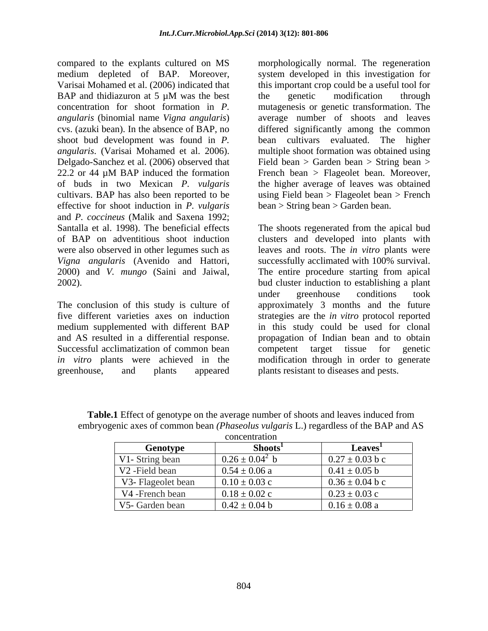shoot bud development was found in *P.*  Delgado-Sanchez et al. (2006) observed that effective for shoot induction in *P. vulgaris* and *P. coccineus* (Malik and Saxena 1992; Santalla et al. 1998). The beneficial effects The shoots regenerated from the apical bud were also observed in other legumes such as *Vigna angularis* (Avenido and Hattori,

Successful acclimatization of common bean competent target tissue for genetic greenhouse, and plants appeared plants resistant to diseases and pests.

compared to the explants cultured on MS morphologically normal. The regeneration medium depleted of BAP. Moreover, system developed in this investigation for Varisai Mohamed et al. (2006) indicated that this important crop could be a useful tool for BAP and thidiazuron at 5  $\mu$ M was the best the genetic modification through concentration for shoot formation in *P.*  mutagenesis or genetic transformation. The *angularis* (binomial name *Vigna angularis*) average number of shoots and leaves cvs. (azuki bean). In the absence of BAP, no differed significantly among the common *angularis*. (Varisai Mohamed et al. 2006). multiple shoot formation was obtained using 22.2 or 44 µM BAP induced the formation French bean > Flageolet bean. Moreover, of buds in two Mexican *P. vulgaris* the higher average of leaves was obtained cultivars. BAP has also been reported to be using Field bean > Flageolet bean > French the genetic modification through bean cultivars evaluated. The higher Field bean > Garden bean > String bean > French bean > Flageolet bean. Moreover,

of BAP on adventitious shoot induction clusters and developed into plants with 2000) and *V. mungo* (Saini and Jaiwal, The entire procedure starting from apical 2002). bud cluster induction to establishing a plant The conclusion of this study is culture of approximately 3 months and the future five different varieties axes on induction strategies are the *in vitro* protocol reported medium supplemented with different BAP in this study could be used for clonal and AS resulted in a differential response. propagation of Indian bean and to obtain *in vitro* plants were achieved in the modification through in order to generate bean > String bean > Garden bean.<br>The shoots regenerated from the apical bud leaves and roots. The *in vitro* plants were successfully acclimated with 100% survival. under greenhouse conditions took competent target tissue for genetic

|                            | concentration       |                     |
|----------------------------|---------------------|---------------------|
| Genotype                   | <b>Shoots</b>       | Leaves'             |
| V1- String bean            | $0.26 \pm 0.04^2$ b | $0.27 \pm 0.03$ b c |
| V <sub>2</sub> -Field bean | $0.54 \pm 0.06$ a   | $0.41 \pm 0.05$ b   |
| V3- Flageolet bean         | $0.10 \pm 0.03$ c   | $0.36 \pm 0.04$ b c |
| V4 -French bean            | $0.18 \pm 0.02$ c   | $0.23 \pm 0.03$ c   |
| V5- Garden bean            | $0.42 \pm 0.04$ b   | $0.16 \pm 0.08$ a   |

**Table.1** Effect of genotype on the average number of shoots and leaves induced from embryogenic axes of common bean *(Phaseolus vulgaris* L.) regardless of the BAP and AS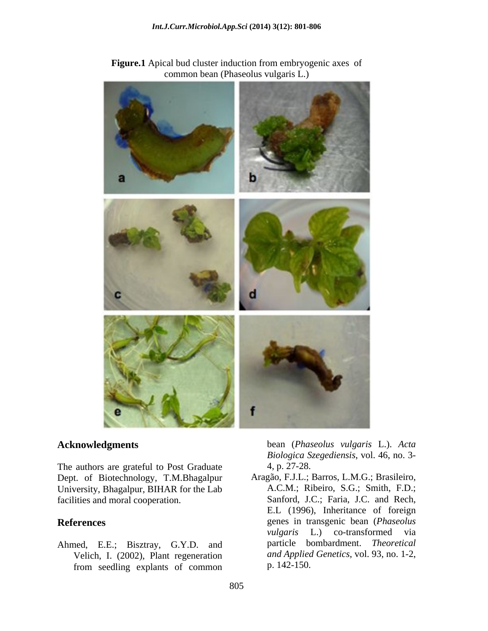

**Figure.1** Apical bud cluster induction from embryogenic axes of common bean (Phaseolus vulgaris L.)

The authors are grateful to Post Graduate 4, p. 27-28. Dept. of Biotechnology, T.M.Bhagalpur Aragão, F.J.L.; Barros, L.M.G.; Brasileiro, University, Bhagalpur, BIHAR for the Lab

Ahmed, E.E.; Bisztray, G.Y.D. and Velich, I. (2002), Plant regeneration from seedling explants of common

**Acknowledgments** bean (*Phaseolus vulgaris* L.). *Acta Biologica Szegediensis*, vol. 46, no. 3- 4, p. 27-28.

facilities and moral cooperation.<br>
Sanford, J.C.; Faria, J.C. and Rech,<br>
E.L. (1996), Inheritance of foreign **References** genes in transgenic bean (*Phaseolus*  A.C.M.; Ribeiro, S.G.; Smith, F.D.; Sanford, J.C.; Faria, J.C. and Rech, E.L (1996), Inheritance of foreign *vulgaris* L.) co-transformed via particle bombardment. *Theoretical and Applied Genetics*, vol. 93, no. 1-2, p. 142-150.